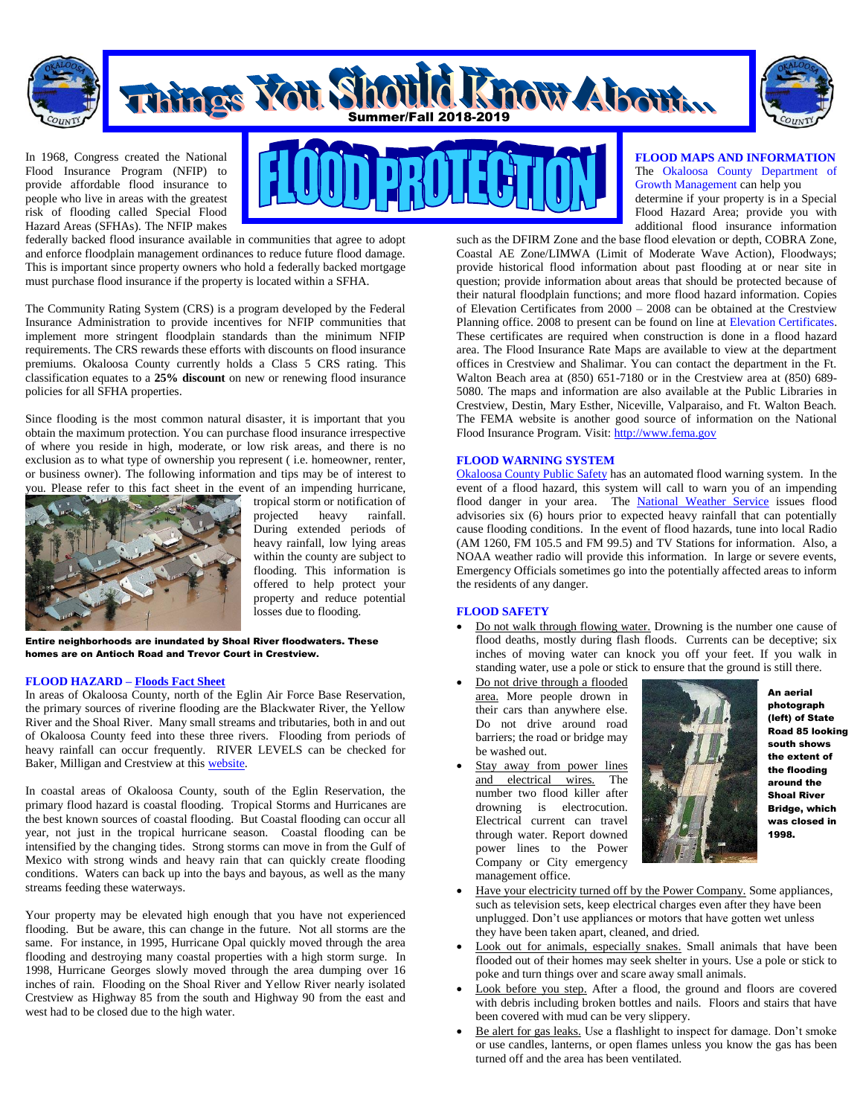

# Things You Shotle Linow About.



In 1968, Congress created the National Flood Insurance Program (NFIP) to provide affordable flood insurance to people who live in areas with the greatest risk of flooding called Special Flood Hazard Areas (SFHAs). The NFIP makes



federally backed flood insurance available in communities that agree to adopt and enforce floodplain management ordinances to reduce future flood damage. This is important since property owners who hold a federally backed mortgage must purchase flood insurance if the property is located within a SFHA.

The Community Rating System (CRS) is a program developed by the Federal Insurance Administration to provide incentives for NFIP communities that implement more stringent floodplain standards than the minimum NFIP requirements. The CRS rewards these efforts with discounts on flood insurance premiums. Okaloosa County currently holds a Class 5 CRS rating. This classification equates to a **25% discount** on new or renewing flood insurance policies for all SFHA properties.

Since flooding is the most common natural disaster, it is important that you obtain the maximum protection. You can purchase flood insurance irrespective of where you reside in high, moderate, or low risk areas, and there is no exclusion as to what type of ownership you represent ( i.e. homeowner, renter, or business owner). The following information and tips may be of interest to you. Please refer to this fact sheet in the event of an impending hurricane,



tropical storm or notification of projected heavy rainfall. During extended periods of heavy rainfall, low lying areas within the county are subject to flooding. This information is offered to help protect your property and reduce potential losses due to flooding.

Entire neighborhoods are inundated by Shoal River floodwaters. These homes are on Antioch Road and Trevor Court in Crestview.

# **FLOOD HAZARD – [Floods Fact Sheet](http://www.fema.gov/library/file?type=publishedFile&file=factsfiguresstats_ot2007.pdf&fileid=4a5e0570-4686-11dc-bda9-000bdba87d5b)**

In areas of Okaloosa County, north of the Eglin Air Force Base Reservation, the primary sources of riverine flooding are the Blackwater River, the Yellow River and the Shoal River. Many small streams and tributaries, both in and out of Okaloosa County feed into these three rivers. Flooding from periods of heavy rainfall can occur frequently. RIVER LEVELS can be checked for Baker, Milligan and Crestview at this [website.](http://ahps.srh.noaa.gov/ahps2/index.php?wfo=mob)

In coastal areas of Okaloosa County, south of the Eglin Reservation, the primary flood hazard is coastal flooding. Tropical Storms and Hurricanes are the best known sources of coastal flooding. But Coastal flooding can occur all year, not just in the tropical hurricane season. Coastal flooding can be intensified by the changing tides. Strong storms can move in from the Gulf of Mexico with strong winds and heavy rain that can quickly create flooding conditions. Waters can back up into the bays and bayous, as well as the many streams feeding these waterways.

Your property may be elevated high enough that you have not experienced flooding. But be aware, this can change in the future. Not all storms are the same. For instance, in 1995, Hurricane Opal quickly moved through the area flooding and destroying many coastal properties with a high storm surge. In 1998, Hurricane Georges slowly moved through the area dumping over 16 inches of rain. Flooding on the Shoal River and Yellow River nearly isolated Crestview as Highway 85 from the south and Highway 90 from the east and west had to be closed due to the high water.

# **FLOOD MAPS AND INFORMATION** The Okaloosa County Department of Growth Management can help you

determine if your property is in a Special Flood Hazard Area; provide you with additional flood insurance information

such as the DFIRM Zone and the base flood elevation or depth, COBRA Zone, Coastal AE Zone/LIMWA (Limit of Moderate Wave Action), Floodways; provide historical flood information about past flooding at or near site in question; provide information about areas that should be protected because of their natural floodplain functions; and more flood hazard information. Copies of Elevation Certificates from 2000 – 2008 can be obtained at the Crestview Planning office. 2008 to present can be found on line at Elevation Certificates. These certificates are required when construction is done in a flood hazard area. The Flood Insurance Rate Maps are available to view at the department offices in Crestview and Shalimar. You can contact the department in the Ft. Walton Beach area at (850) 651-7180 or in the Crestview area at (850) 689- 5080. The maps and information are also available at the Public Libraries in Crestview, Destin, Mary Esther, Niceville, Valparaiso, and Ft. Walton Beach. The FEMA website is another good source of information on the National Flood Insurance Program. Visit[: http://www.fema.gov](http://www.fema.gov/)

# **FLOOD WARNING SYSTEM**

[Okaloosa County Public Safety](http://www.co.okaloosa.fl.us/dept_ps_dsr.asp) has an automated flood warning system. In the event of a flood hazard, this system will call to warn you of an impending flood danger in your area. The [National Weather Service](http://www.weather.gov/) issues flood advisories six (6) hours prior to expected heavy rainfall that can potentially cause flooding conditions. In the event of flood hazards, tune into local Radio (AM 1260, FM 105.5 and FM 99.5) and TV Stations for information. Also, a NOAA weather radio will provide this information. In large or severe events, Emergency Officials sometimes go into the potentially affected areas to inform the residents of any danger.

# **FLOOD SAFETY**

- Do not walk through flowing water. Drowning is the number one cause of flood deaths, mostly during flash floods. Currents can be deceptive; six inches of moving water can knock you off your feet. If you walk in standing water, use a pole or stick to ensure that the ground is still there.
- Do not drive through a flooded area. More people drown in their cars than anywhere else. Do not drive around road barriers; the road or bridge may be washed out.
- Stay away from power lines and electrical wires. The number two flood killer after drowning is electrocution. Electrical current can travel through water. Report downed power lines to the Power Company or City emergency management office.



An aerial photograph (left) of State Road 85 looking south shows the extent of the flooding around the Shoal River Bridge, which was closed in 1998.

- Have your electricity turned off by the Power Company. Some appliances, such as television sets, keep electrical charges even after they have been unplugged. Don't use appliances or motors that have gotten wet unless they have been taken apart, cleaned, and dried.
- Look out for animals, especially snakes. Small animals that have been flooded out of their homes may seek shelter in yours. Use a pole or stick to poke and turn things over and scare away small animals.
- Look before you step. After a flood, the ground and floors are covered with debris including broken bottles and nails. Floors and stairs that have been covered with mud can be very slippery.
- Be alert for gas leaks. Use a flashlight to inspect for damage. Don't smoke or use candles, lanterns, or open flames unless you know the gas has been turned off and the area has been ventilated.